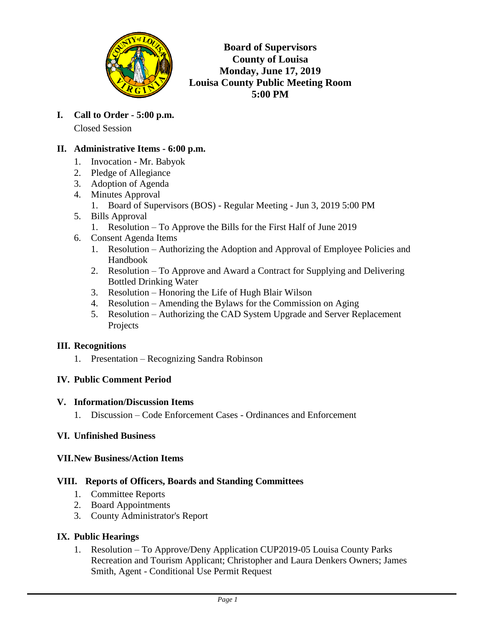

**Board of Supervisors County of Louisa Monday, June 17, 2019 Louisa County Public Meeting Room 5:00 PM**

**I. Call to Order - 5:00 p.m.** Closed Session

## **II. Administrative Items - 6:00 p.m.**

- 1. Invocation Mr. Babyok
- 2. Pledge of Allegiance
- 3. Adoption of Agenda
- 4. Minutes Approval
	- 1. Board of Supervisors (BOS) Regular Meeting Jun 3, 2019 5:00 PM
- 5. Bills Approval
	- 1. Resolution To Approve the Bills for the First Half of June 2019
- 6. Consent Agenda Items
	- 1. Resolution Authorizing the Adoption and Approval of Employee Policies and Handbook
	- 2. Resolution To Approve and Award a Contract for Supplying and Delivering Bottled Drinking Water
	- 3. Resolution Honoring the Life of Hugh Blair Wilson
	- 4. Resolution Amending the Bylaws for the Commission on Aging
	- 5. Resolution Authorizing the CAD System Upgrade and Server Replacement Projects

#### **III. Recognitions**

1. Presentation – Recognizing Sandra Robinson

#### **IV. Public Comment Period**

#### **V. Information/Discussion Items**

1. Discussion – Code Enforcement Cases - Ordinances and Enforcement

#### **VI. Unfinished Business**

#### **VII.New Business/Action Items**

#### **VIII. Reports of Officers, Boards and Standing Committees**

- 1. Committee Reports
- 2. Board Appointments
- 3. County Administrator's Report

# **IX. Public Hearings**

1. Resolution – To Approve/Deny Application CUP2019-05 Louisa County Parks Recreation and Tourism Applicant; Christopher and Laura Denkers Owners; James Smith, Agent - Conditional Use Permit Request